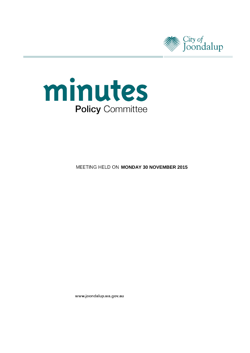



**MEETING HELD ON MONDAY 30 NOVEMBER 2015** 

www.joondalup.wa.gov.au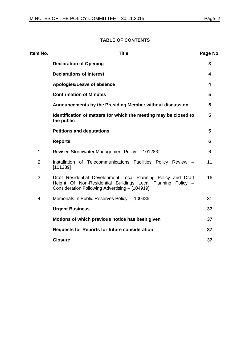# **TABLE OF CONTENTS**

| Item No.       | <b>Title</b>                                                                                                                                                                   | Page No.       |
|----------------|--------------------------------------------------------------------------------------------------------------------------------------------------------------------------------|----------------|
|                | <b>Declaration of Opening</b>                                                                                                                                                  | 3              |
|                | <b>Declarations of Interest</b>                                                                                                                                                | 4              |
|                | Apologies/Leave of absence                                                                                                                                                     | 4              |
|                | <b>Confirmation of Minutes</b>                                                                                                                                                 | 5              |
|                | Announcements by the Presiding Member without discussion                                                                                                                       | 5              |
|                | Identification of matters for which the meeting may be closed to<br>the public                                                                                                 | $5\phantom{1}$ |
|                | <b>Petitions and deputations</b>                                                                                                                                               | 5              |
|                | <b>Reports</b>                                                                                                                                                                 | 6              |
| $\mathbf{1}$   | Revised Stormwater Management Policy - [101283]                                                                                                                                | 6              |
| $\overline{2}$ | Installation of Telecommunications Facilities Policy Review -<br>[101289]                                                                                                      | 11             |
| 3              | Draft Residential Development Local Planning Policy and Draft<br>Height Of Non-Residential Buildings Local Planning Policy -<br>Consideration Following Advertising - [104919] | 16             |
| 4              | Memorials In Public Reserves Policy - [100385]                                                                                                                                 | 31             |
|                | <b>Urgent Business</b>                                                                                                                                                         | 37             |
|                | Motions of which previous notice has been given                                                                                                                                | 37             |
|                | <b>Requests for Reports for future consideration</b>                                                                                                                           | 37             |
|                | <b>Closure</b>                                                                                                                                                                 | 37             |
|                |                                                                                                                                                                                |                |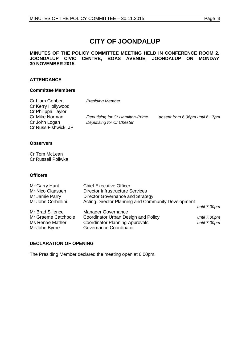# **CITY OF JOONDALUP**

### **MINUTES OF THE POLICY COMMITTEE MEETING HELD IN CONFERENCE ROOM 2, JOONDALUP CIVIC CENTRE, BOAS AVENUE, JOONDALUP ON MONDAY 30 NOVEMBER 2015.**

# **ATTENDANCE**

# **Committee Members**

| Cr Liam Gobbert<br>Cr Kerry Hollywood<br>Cr Philippa Taylor | <b>Presiding Member</b>                                       |                                 |
|-------------------------------------------------------------|---------------------------------------------------------------|---------------------------------|
| Cr Mike Norman<br>Cr John Logan<br>Cr Russ Fishwick, JP     | Deputising for Cr Hamilton-Prime<br>Deputising for Cr Chester | absent from 6.06pm until 6.17pm |

# **Observers**

Cr Tom McLean Cr Russell Poliwka

#### **Officers**

| Mr Garry Hunt       | <b>Chief Executive Officer</b>                     |              |
|---------------------|----------------------------------------------------|--------------|
| Mr Nico Claassen    | <b>Director Infrastructure Services</b>            |              |
| Mr Jamie Parry      | Director Governance and Strategy                   |              |
| Mr John Corbellini  | Acting Director Planning and Community Development |              |
|                     |                                                    | until 7.00pm |
| Mr Brad Sillence    | <b>Manager Governance</b>                          |              |
| Mr Graeme Catchpole | Coordinator Urban Design and Policy                | until 7.00pm |
| Ms Renae Mather     | <b>Coordinator Planning Approvals</b>              | until 7.00pm |
| Mr John Byrne       | Governance Coordinator                             |              |

# <span id="page-2-0"></span>**DECLARATION OF OPENING**

The Presiding Member declared the meeting open at 6.00pm.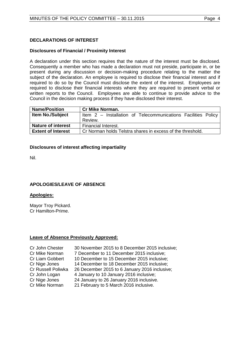# <span id="page-3-0"></span>**DECLARATIONS OF INTEREST**

# **Disclosures of Financial / Proximity Interest**

A declaration under this section requires that the nature of the interest must be disclosed. Consequently a member who has made a declaration must not preside, participate in, or be present during any discussion or decision-making procedure relating to the matter the subject of the declaration. An employee is required to disclose their financial interest and if required to do so by the Council must disclose the extent of the interest. Employees are required to disclose their financial interests where they are required to present verbal or written reports to the Council. Employees are able to continue to provide advice to the Council in the decision making process if they have disclosed their interest.

| <b>Name/Position</b>      | <b>Cr Mike Norman.</b>                                        |
|---------------------------|---------------------------------------------------------------|
| <b>Item No./Subject</b>   | Item 2 – Installation of Telecommunications Facilities Policy |
|                           | Review.                                                       |
| <b>Nature of interest</b> | Financial Interest.                                           |
| <b>Extent of Interest</b> | Cr Norman holds Telstra shares in excess of the threshold.    |

#### **Disclosures of interest affecting impartiality**

Nil.

# <span id="page-3-1"></span>**APOLOGIES/LEAVE OF ABSENCE**

# **Apologies:**

Mayor Troy Pickard. Cr Hamilton-Prime.

#### **Leave of Absence Previously Approved:**

| 30 November 2015 to 8 December 2015 inclusive; |
|------------------------------------------------|
| 7 December to 11 December 2015 inclusive;      |
| 10 December to 15 December 2015 inclusive;     |
| 14 December to 18 December 2015 inclusive;     |
| 26 December 2015 to 6 January 2016 inclusive;  |
| 4 January to 10 January 2016 inclusive;        |
| 24 January to 26 January 2016 inclusive.       |
| 21 February to 5 March 2016 inclusive.         |
|                                                |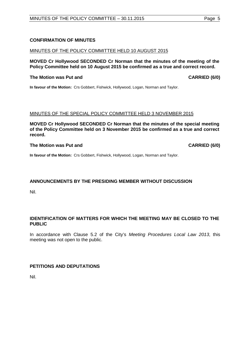# <span id="page-4-0"></span>**CONFIRMATION OF MINUTES**

#### MINUTES OF THE POLICY COMMITTEE HELD 10 AUGUST 2015

# **MOVED Cr Hollywood SECONDED Cr Norman that the minutes of the meeting of the Policy Committee held on 10 August 2015 be confirmed as a true and correct record.**

## **The Motion was Put and CARRIED (6/0)**

**In favour of the Motion:** Crs Gobbert, Fishwick, Hollywood, Logan, Norman and Taylor.

#### MINUTES OF THE SPECIAL POLICY COMMITTEE HELD 3 NOVEMBER 2015

**MOVED Cr Hollywood SECONDED Cr Norman that the minutes of the special meeting of the Policy Committee held on 3 November 2015 be confirmed as a true and correct record.**

#### **The Motion was Put and CARRIED (6/0)**

**In favour of the Motion:** Crs Gobbert, Fishwick, Hollywood, Logan, Norman and Taylor.

# <span id="page-4-1"></span>**ANNOUNCEMENTS BY THE PRESIDING MEMBER WITHOUT DISCUSSION**

Nil.

# <span id="page-4-2"></span>**IDENTIFICATION OF MATTERS FOR WHICH THE MEETING MAY BE CLOSED TO THE PUBLIC**

In accordance with Clause 5.2 of the City's *Meeting Procedures Local Law 2013*, this meeting was not open to the public.

# <span id="page-4-3"></span>**PETITIONS AND DEPUTATIONS**

Nil.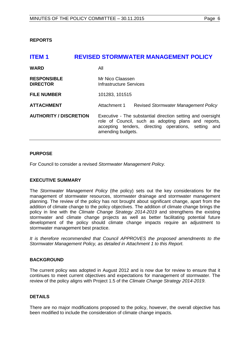<span id="page-5-0"></span>**REPORTS**

# <span id="page-5-1"></span>**ITEM 1 REVISED STORMWATER MANAGEMENT POLICY**

| <b>WARD</b>                           | All                                                                                                                                                                                              |  |  |  |
|---------------------------------------|--------------------------------------------------------------------------------------------------------------------------------------------------------------------------------------------------|--|--|--|
| <b>RESPONSIBLE</b><br><b>DIRECTOR</b> | Mr Nico Claassen<br>Infrastructure Services                                                                                                                                                      |  |  |  |
| <b>FILE NUMBER</b>                    | 101283, 101515                                                                                                                                                                                   |  |  |  |
| <b>ATTACHMENT</b>                     | Attachment 1<br>Revised Stormwater Management Policy                                                                                                                                             |  |  |  |
| <b>AUTHORITY / DISCRETION</b>         | Executive - The substantial direction setting and oversight<br>role of Council, such as adopting plans and reports,<br>accepting tenders, directing operations, setting and<br>amending budgets. |  |  |  |

# **PURPOSE**

For Council to consider a revised *Stormwater Management Policy.* 

# **EXECUTIVE SUMMARY**

The *Stormwater Management Policy* (the policy) sets out the key considerations for the management of stormwater resources, stormwater drainage and stormwater management planning. The review of the policy has not brought about significant change, apart from the addition of climate change to the policy objectives. The addition of climate change brings the policy in line with the *Climate Change Strategy 2014-2019* and strengthens the existing stormwater and climate change projects as well as better facilitating potential future development of the policy should climate change impacts require an adjustment to stormwater management best practice.

*It is therefore recommended that Council APPROVES the proposed amendments to the Stormwater Management Policy, as detailed in Attachment 1 to this Report.* 

# **BACKGROUND**

The current policy was adopted in August 2012 and is now due for review to ensure that it continues to meet current objectives and expectations for management of stormwater. The review of the policy aligns with Project 1.5 of the *Climate Change Strategy 2014-2019*.

# **DETAILS**

There are no major modifications proposed to the policy, however, the overall objective has been modified to include the consideration of climate change impacts.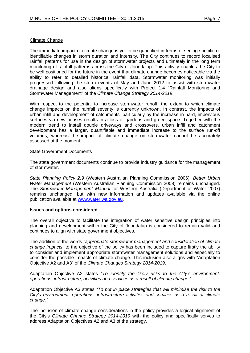# Climate Change

The immediate impact of climate change is yet to be quantified in terms of seeing specific or identifiable changes in storm duration and intensity. The City continues to record localised rainfall patterns for use in the design of stormwater projects and ultimately in the long term monitoring of rainfall patterns across the City of Joondalup. This activity enables the City to be well positioned for the future in the event that climate change becomes noticeable via the ability to refer to detailed historical rainfall data. Stormwater monitoring was initially progressed following the storm events of May and June 2012 to assist with stormwater drainage design and also aligns specifically with Project 1.4 "Rainfall Monitoring and Stormwater Management" of the *Climate Change Strategy 2014-2019*.

With respect to the potential to increase stormwater runoff, the extent to which climate change impacts on the rainfall severity is currently unknown. In contrast, the impacts of urban infill and development of catchments, particularly by the increase in hard, impervious surfaces via new houses results in a loss of gardens and green space. Together with the modern trend to install double driveways and crossovers, urban infill and catchment development has a larger, quantifiable and immediate increase to the surface run-off volumes, whereas the impact of climate change on stormwater cannot be accurately assessed at the moment.

# State Government Documents

The state government documents continue to provide industry guidance for the management of stormwater.

*State Planning Policy 2.9* (Western Australian Planning Commission 2006), *Better Urban Water Management* (Western Australian Planning Commission 2008) remains unchanged. The *Stormwater Management Manual* for Western Australia (Department of Water 2007) remains unchanged, but with new information and updates available via the online publication available at [www.water.wa.gov.au.](http://www.water.wa.gov.au/)

# **Issues and options considered**

The overall objective to facilitate the integration of water sensitive design principles into planning and development within the City of Joondalup is considered to remain valid and continues to align with state government objectives.

The addition of the words *"appropriate stormwater management and consideration of climate change impacts"* to the objective of the policy has been included to capture firstly the ability to consider and implement appropriate stormwater management solutions and especially to consider the possible impacts of climate change. This inclusion also aligns with "Adaptation Objective A2 and A3" of the *Climate Changes Strategy 2014-2019*.

Adaptation Objective A2 states *"To identify the likely risks to the City's environment, operations, infrastructure, activities and services as a result of climate change."*

Adaptation Objective A3 states *"To put in place strategies that will minimise the risk to the City's environment, operations, infrastructure activities and services as a result of climate change."*

The inclusion of climate change considerations in the policy provides a logical alignment of the City's *Climate Change Strategy 2014-2019* with the policy and specifically serves to address Adaptation Objectives A2 and A3 of the strategy.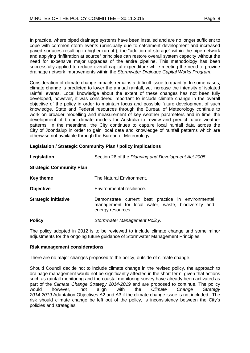In practice, where piped drainage systems have been installed and are no longer sufficient to cope with common storm events (principally due to catchment development and increased paved surfaces resulting in higher run-off), the "addition of storage" within the pipe network and applying "infiltration at source" principles can restore overall system capacity without the need for expensive major upgrades of the entire pipeline. This methodology has been successfully applied to reduce overall capital expenditure while meeting the need to provide drainage network improvements within the *Stormwater Drainage Capital Works Program*.

Consideration of climate change impacts remains a difficult issue to quantify. In some cases, climate change is predicted to lower the annual rainfall, yet increase the intensity of isolated rainfall events. Local knowledge about the extent of these changes has not been fully developed, however, it was considered important to include climate change in the overall objective of the policy in order to maintain focus and possible future development of such knowledge. State and Federal resources through the Bureau of Meteorology continue to work on broader modelling and measurement of key weather parameters and in time, the development of broad climate models for Australia to review and predict future weather patterns. In the meantime, the City continues to capture local rainfall data across the City of Joondalup in order to gain local data and knowledge of rainfall patterns which are otherwise not available through the Bureau of Meteorology.

# **Legislation / Strategic Community Plan / policy implications**

| Legislation                     | Section 26 of the Planning and Development Act 2005.                                                                           |  |  |  |
|---------------------------------|--------------------------------------------------------------------------------------------------------------------------------|--|--|--|
| <b>Strategic Community Plan</b> |                                                                                                                                |  |  |  |
| Key theme                       | The Natural Environment.                                                                                                       |  |  |  |
| <b>Objective</b>                | Environmental resilience.                                                                                                      |  |  |  |
| <b>Strategic initiative</b>     | Demonstrate current best practice in environmental<br>management for local water, waste, biodiversity and<br>energy resources. |  |  |  |
| <b>Policy</b>                   | Stormwater Management Policy.                                                                                                  |  |  |  |

The policy adopted in 2012 is to be reviewed to include climate change and some minor adjustments for the ongoing future guidance of Stormwater Management Principles.

# **Risk management considerations**

There are no major changes proposed to the policy, outside of climate change.

Should Council decide not to include climate change in the revised policy, the approach to drainage management would not be significantly affected in the short term, given that actions such as rainfall monitoring and the coastal monitoring survey have already been activated as part of the *Climate Change Strategy 2014-2019* and are proposed to continue. The policy would however, not align with the *Climate Change Strategy 2014-2019* Adaptation Objectives A2 and A3 if the climate change issue is not included. The risk should climate change be left out of the policy, is inconsistency between the City's policies and strategies.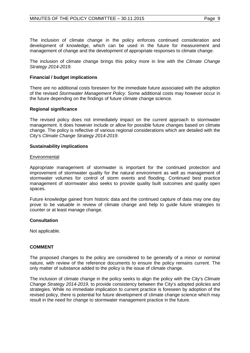The inclusion of climate change in the policy enforces continued consideration and development of knowledge, which can be used in the future for measurement and management of change and the development of appropriate responses to climate change.

The inclusion of climate change brings this policy more in line with the *Climate Change Strategy 2014-2019.*

# **Financial / budget implications**

There are no additional costs foreseen for the immediate future associated with the adoption of the revised *Stormwater Management Policy*. Some additional costs may however occur in the future depending on the findings of future climate change science.

#### **Regional significance**

The revised policy does not immediately impact on the current approach to stormwater management. It does however include or allow for possible future changes based on climate change. The policy is reflective of various regional considerations which are detailed with the City's *Climate Change Strategy 2014-2019*.

#### **Sustainability implications**

#### **Environmental**

Appropriate management of stormwater is important for the continued protection and improvement of stormwater quality for the natural environment as well as management of stormwater volumes for control of storm events and flooding. Continued best practice management of stormwater also seeks to provide quality built outcomes and quality open spaces.

Future knowledge gained from historic data and the continued capture of data may one day prove to be valuable in review of climate change and help to guide future strategies to counter or at least manage change.

#### **Consultation**

Not applicable.

# **COMMENT**

The proposed changes to the policy are considered to be generally of a minor or nominal nature, with review of the reference documents to ensure the policy remains current. The only matter of substance added to the policy is the issue of climate change.

The inclusion of climate change in the policy seeks to align the policy with the City's *Climate Change Strategy 2014-2019*, to provide consistency between the City's adopted policies and strategies. While no immediate implication to current practice is foreseen by adoption of the revised policy, there is potential for future development of climate change science which may result in the need for change to stormwater management practice in the future.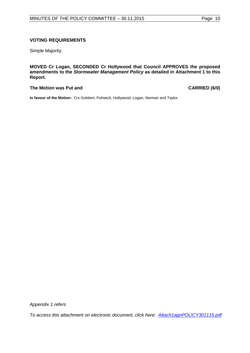# **VOTING REQUIREMENTS**

Simple Majority.

**MOVED Cr Logan, SECONDED Cr Hollywood that Council APPROVES the proposed amendments to the** *Stormwater Management Policy* **as detailed in Attachment 1 to this Report.**

# The Motion was Put and **CARRIED** (6/0)

**In favour of the Motion:** Crs Gobbert, Fishwick, Hollywood, Logan, Norman and Taylor.

*Appendix 1 refers*

*[To access this attachment on electronic document, click here: Attach1agnPOLICY301115.pdf](http://www.joondalup.wa.gov.au/files/committees/POLI/2015/Attach1agnPOLICY301115.pdf)*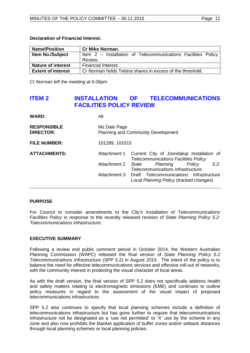## **Declaration of Financial Interest.**

| <b>Name/Position</b>      | <b>Cr Mike Norman.</b>                                        |
|---------------------------|---------------------------------------------------------------|
| <b>Item No./Subject</b>   | Item 2 - Installation of Telecommunications Facilities Policy |
|                           | Review.                                                       |
| <b>Nature of interest</b> | Financial Interest.                                           |
| <b>Extent of Interest</b> | Cr Norman holds Telstra shares in excess of the threshold.    |

*Cr Norman left the meeting at 6.06pm.*

# <span id="page-10-0"></span>**ITEM 2 INSTALLATION OF TELECOMMUNICATIONS FACILITIES POLICY REVIEW**

| <b>WARD:</b>                           | All                                                       |                                                                                          |  |  |  |
|----------------------------------------|-----------------------------------------------------------|------------------------------------------------------------------------------------------|--|--|--|
| <b>RESPONSIBLE</b><br><b>DIRECTOR:</b> | Ms Dale Page<br><b>Planning and Community Development</b> |                                                                                          |  |  |  |
| <b>FILE NUMBER:</b>                    | 101289, 101515                                            |                                                                                          |  |  |  |
| <b>ATTACHMENTS:</b>                    | Attachment 1                                              | Current City of Joondalup Installation of<br><b>Telecommunications Facilities Policy</b> |  |  |  |
|                                        | Attachment 2                                              | $5.2^{\circ}$<br>Planning<br>Policy<br>State<br>Telecommunications Infrastructure        |  |  |  |
|                                        | Attachment 3                                              | Draft Telecommunications Infrastructure<br>Local Planning Policy (tracked changes)       |  |  |  |

# **PURPOSE**

For Council to consider amendments to the City's *Installation of Telecommunications Facilities Policy* in response to the recently released revision of *State Planning Policy 5.2: Telecommunications Infrastructure*.

# **EXECUTIVE SUMMARY**

Following a review and public comment period in October 2014, the Western Australian Planning Commission (WAPC) released the final version of *State Planning Policy 5.2 Telecommunications Infrastructure* (SPP 5.2) in August 2015. The intent of the policy is to balance the need for effective telecommunications services and effective roll-out of networks, with the community interest in protecting the visual character of local areas.

As with the draft version, the final version of SPP 5.2 does not specifically address health and safety matters relating to electromagnetic emissions (EME) and continues to outline policy measures in regard to the assessment of the visual impact of proposed telecommunications infrastructure.

SPP 5.2 also continues to specify that local planning schemes include a definition of telecommunications infrastructure but has gone further to require that telecommunications infrastructure not be designated as a 'use not permitted' or 'X' use by the scheme in any zone and also now prohibits the blanket application of buffer zones and/or setback distances through local planning schemes or local planning policies.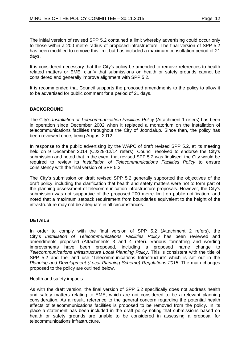The initial version of revised SPP 5.2 contained a limit whereby advertising could occur only to those within a 200 metre radius of proposed infrastructure. The final version of SPP 5.2 has been modified to remove this limit but has included a maximum consultation period of 21 days.

It is considered necessary that the City's policy be amended to remove references to health related matters or EME; clarify that submissions on health or safety grounds cannot be considered and generally improve alignment with SPP 5.2.

It is recommended that Council supports the proposed amendments to the policy to allow it to be advertised for public comment for a period of 21 days.

# **BACKGROUND**

The City's *Installation of Telecommunication Facilities Policy* (Attachment 1 refers) has been in operation since December 2002 when it replaced a moratorium on the installation of telecommunications facilities throughout the City of Joondalup. Since then, the policy has been reviewed once, being August 2012.

In response to the public advertising by the WAPC of draft revised SPP 5.2, at its meeting held on 9 December 2014 (CJ229-12/14 refers), Council resolved to endorse the City's submission and noted that in the event that revised SPP 5.2 was finalised, the City would be required to review its *Installation of Telecommunications Facilities Policy* to ensure consistency with the final version of SPP 5.2.

The City's submission on draft revised SPP 5.2 generally supported the objectives of the draft policy, including the clarification that health and safety matters were not to form part of the planning assessment of telecommunication infrastructure proposals. However, the City's submission was not supportive of the proposed 200 metre limit on public notification, and noted that a maximum setback requirement from boundaries equivalent to the height of the infrastructure may not be adequate in all circumstances.

# **DETAILS**

In order to comply with the final version of SPP 5.2 (Attachment 2 refers), the City's *Installation of Telecommunications Facilities Policy* has been reviewed and amendments proposed (Attachments 3 and 4 refer). Various formatting and wording improvements have been proposed, including a proposed name change to *Telecommunications Infrastructure Local Planning Policy*. This is consistent with the title of SPP 5.2 and the land use 'Telecommunications Infrastructure' which is set out in the *Planning and Development (Local Planning Scheme) Regulations 2015*. The main changes proposed to the policy are outlined below.

#### Health and safety impacts

As with the draft version, the final version of SPP 5.2 specifically does not address health and safety matters relating to EME, which are not considered to be a relevant planning consideration. As a result, reference to the general concern regarding the potential health effects of telecommunications facilities is proposed to be removed from the policy. In its place a statement has been included in the draft policy noting that submissions based on health or safety grounds are unable to be considered in assessing a proposal for telecommunications infrastructure.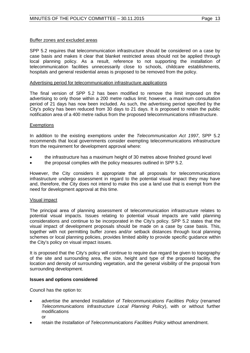# Buffer zones and excluded areas

SPP 5.2 requires that telecommunication infrastructure should be considered on a case by case basis and makes it clear that blanket restricted areas should not be applied through local planning policy. As a result, reference to not supporting the installation of telecommunication facilities unnecessarily close to schools, childcare establishments, hospitals and general residential areas is proposed to be removed from the policy.

#### Advertising period for telecommunication infrastructure applications

The final version of SPP 5.2 has been modified to remove the limit imposed on the advertising to only those within a 200 metre radius limit; however, a maximum consultation period of 21 days has now been included. As such, the advertising period specified by the City's policy has been reduced from 30 days to 21 days. It is proposed to retain the public notification area of a 400 metre radius from the proposed telecommunications infrastructure.

#### **Exemptions**

In addition to the existing exemptions under the *Telecommunication Act 1997*, SPP 5.2 recommends that local governments consider exempting telecommunications infrastructure from the requirement for development approval where:

- the infrastructure has a maximum height of 30 metres above finished ground level
- the proposal complies with the policy measures outlined in SPP 5.2.

However, the City considers it appropriate that all proposals for telecommunications infrastructure undergo assessment in regard to the potential visual impact they may have and, therefore, the City does not intend to make this use a land use that is exempt from the need for development approval at this time.

# Visual impact

The principal area of planning assessment of telecommunication infrastructure relates to potential visual impacts. Issues relating to potential visual impacts are valid planning considerations and continue to be incorporated in the City's policy. SPP 5.2 states that the visual impact of development proposals should be made on a case by case basis. This, together with not permitting buffer zones and/or setback distances through local planning schemes or local planning policies, provides limited ability to provide specific guidance within the City's policy on visual impact issues.

It is proposed that the City's policy will continue to require due regard be given to topography of the site and surrounding area, the size, height and type of the proposed facility, the location and density of surrounding vegetation, and the general visibility of the proposal from surrounding development.

# **Issues and options considered**

Council has the option to:

- advertise the amended *Installation of Telecommunications Facilities Policy* (renamed *Telecommunications Infrastructure Local Planning Policy*), with or without further modifications
	- or
- retain the *Installation of Telecommunications Facilities Policy* without amendment.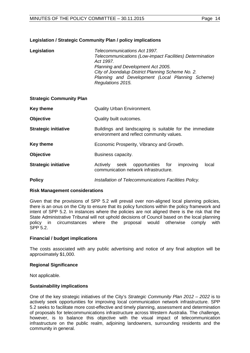# **Legislation / Strategic Community Plan / policy implications**

| Legislation | Telecommunications Act 1997.                             |
|-------------|----------------------------------------------------------|
|             | Telecommunications (Low-impact Facilities) Determination |
|             | Act 1997.                                                |
|             | Planning and Development Act 2005.                       |
|             | City of Joondalup District Planning Scheme No. 2.        |
|             | Planning and Development (Local Planning Scheme)         |
|             | Regulations 2015.                                        |

# **Strategic Community Plan**

| Key theme                   | <b>Quality Urban Environment.</b>                                                                    |  |  |  |  |
|-----------------------------|------------------------------------------------------------------------------------------------------|--|--|--|--|
| <b>Objective</b>            | Quality built outcomes.                                                                              |  |  |  |  |
| <b>Strategic initiative</b> | Buildings and landscaping is suitable for the immediate<br>environment and reflect community values. |  |  |  |  |
| Key theme                   | Economic Prosperity, Vibrancy and Growth.                                                            |  |  |  |  |
| <b>Objective</b>            | Business capacity.                                                                                   |  |  |  |  |
| <b>Strategic initiative</b> | opportunities for<br>Actively<br>improving<br>seek<br>local<br>communication network infrastructure. |  |  |  |  |
| <b>Policy</b>               | Installation of Telecommunications Facilities Policy.                                                |  |  |  |  |

# **Risk Management considerations**

Given that the provisions of SPP 5.2 will prevail over non-aligned local planning policies, there is an onus on the City to ensure that its policy functions within the policy framework and intent of SPP 5.2. In instances where the policies are not aligned there is the risk that the State Administrative Tribunal will not uphold decisions of Council based on the local planning policy in circumstances where the proposal would otherwise comply with SPP 5.2.

# **Financial / budget implications**

The costs associated with any public advertising and notice of any final adoption will be approximately \$1,000.

# **Regional Significance**

Not applicable.

# **Sustainability implications**

One of the key strategic initiatives of the City's *Strategic Community Plan 2012 – 2022* is to actively seek opportunities for improving local communication network infrastructure. SPP 5.2 seeks to facilitate more cost-effective and timely planning, assessment and determination of proposals for telecommunications infrastructure across Western Australia. The challenge, however, is to balance this objective with the visual impact of telecommunication infrastructure on the public realm, adjoining landowners, surrounding residents and the community in general.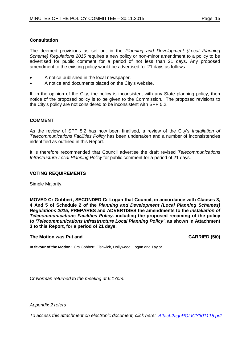# **Consultation**

The deemed provisions as set out in the *Planning and Development (Local Planning Scheme) Regulations 2015* requires a new policy or non-minor amendment to a policy to be advertised for public comment for a period of not less than 21 days. Any proposed amendment to the existing policy would be advertised for 21 days as follows:

- A notice published in the local newspaper.
- A notice and documents placed on the City's website.

If, in the opinion of the City, the policy is inconsistent with any State planning policy, then notice of the proposed policy is to be given to the Commission. The proposed revisions to the City's policy are not considered to be inconsistent with SPP 5.2.

# **COMMENT**

As the review of SPP 5.2 has now been finalised, a review of the City's *Installation of Telecommunications Facilities Policy* has been undertaken and a number of inconsistencies indentified as outlined in this Report.

It is therefore recommended that Council advertise the draft revised *Telecommunications Infrastructure Local Planning Policy* for public comment for a period of 21 days.

# **VOTING REQUIREMENTS**

Simple Majority.

**MOVED Cr Gobbert, SECONDED Cr Logan that Council, in accordance with Clauses 3, 4 And 5 of Schedule 2 of the** *Planning and Development (Local Planning Schemes) Regulations 2015,* **PREPARES and ADVERTISES the amendments to the** *Installation of Telecommunications Facilities Policy,* **including the proposed renaming of the policy to** *'Telecommunications Infrastructure Local Planning Policy'***, as shown in Attachment 3 to this Report, for a period of 21 days.**

# **The Motion was Put and CARRIED (5/0) CARRIED (5/0)**

**In favour of the Motion:** Crs Gobbert, Fishwick, Hollywood, Logan and Taylor.

*Cr Norman returned to the meeting at 6.17pm.*

*Appendix 2 refers*

*[To access this attachment on electronic document, click here: Attach2agnPOLICY301115.pdf](http://www.joondalup.wa.gov.au/files/committees/POLI/2015/Attach2agnPOLICY301115.pdf)*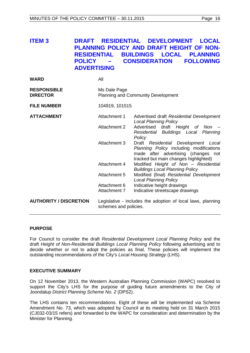<span id="page-15-0"></span>

| ITEM 3 |                    |  |  | DRAFT RESIDENTIAL DEVELOPMENT LOCAL             |
|--------|--------------------|--|--|-------------------------------------------------|
|        |                    |  |  | <b>PLANNING POLICY AND DRAFT HEIGHT OF NON-</b> |
|        |                    |  |  | RESIDENTIAL BUILDINGS LOCAL PLANNING            |
|        |                    |  |  | POLICY – CONSIDERATION FOLLOWING                |
|        | <b>ADVERTISING</b> |  |  |                                                 |

| <b>WARD</b>                           | All                                                       |                                                                                                                                                                |
|---------------------------------------|-----------------------------------------------------------|----------------------------------------------------------------------------------------------------------------------------------------------------------------|
| <b>RESPONSIBLE</b><br><b>DIRECTOR</b> | Ms Dale Page<br><b>Planning and Community Development</b> |                                                                                                                                                                |
| <b>FILE NUMBER</b>                    | 104919, 101515                                            |                                                                                                                                                                |
| <b>ATTACHMENT</b>                     | Attachment 1                                              | Advertised draft Residential Development<br><b>Local Planning Policy</b>                                                                                       |
|                                       | <b>Attachment 2</b>                                       | Advertised draft Height of Non -<br>Residential Buildings Local Planning<br>Policy                                                                             |
|                                       | Attachment 3                                              | Draft Residential Development Local<br>Planning Policy including modifications<br>made after advertising (changes not<br>tracked but main changes highlighted) |
|                                       | Attachment 4                                              | Modified Height of Non - Residential<br><b>Buildings Local Planning Policy</b>                                                                                 |
|                                       | Attachment 5                                              | Modified (final) Residential Development<br><b>Local Planning Policy</b>                                                                                       |
|                                       | Attachment 6                                              | Indicative height drawings                                                                                                                                     |
|                                       | Attachment 7                                              | Indicative streetscape drawings                                                                                                                                |
| <b>AUTHORITY / DISCRETION</b>         | schemes and policies.                                     | Legislative - includes the adoption of local laws, planning                                                                                                    |

# **PURPOSE**

For Council to consider the draft *Residential Development Local Planning Policy* and the draft *Height of Non-Residential Buildings Local Planning Policy* following advertising and to decide whether or not to adopt the policies as final. These policies will implement the outstanding recommendations of the City's *Local Housing Strategy* (LHS).

# **EXECUTIVE SUMMARY**

On 12 November 2013, the Western Australian Planning Commission (WAPC) resolved to support the City's LHS for the purpose of guiding future amendments to the City of Joondalup *District Planning Scheme No. 2* (DPS2).

The LHS contains ten recommendations. Eight of these will be implemented via Scheme Amendment No. 73, which was adopted by Council at its meeting held on 31 March 2015 (CJ032-03/15 refers) and forwarded to the WAPC for consideration and determination by the Minister for Planning.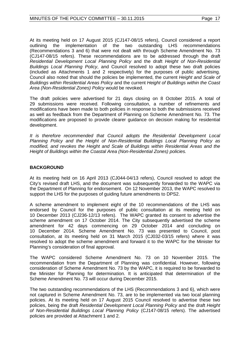At its meeting held on 17 August 2015 (CJ147-08/15 refers), Council considered a report outlining the implementation of the two outstanding LHS recommendations (Recommendations 3 and 6) that were not dealt with through Scheme Amendment No. 73 (CJ147-08/15 refers). These recommendations are to be addressed through the draft *Residential Development Local Planning Policy* and the draft *Height of Non-Residential Buildings Local Planning Policy*, and Council resolved to adopt these two draft policies (included as Attachments 1 and 2 respectively) for the purposes of public advertising. Council also noted that should the policies be implemented, the current *Height and Scale of Buildings within Residential Areas Policy* and the current *Height of Buildings within the Coast Area (Non-Residential Zones) Policy* would be revoked.

The draft policies were advertised for 21 days closing on 8 October 2015. A total of 29 submissions were received. Following consultation, a number of refinements and modifications have been made to both policies in response to both the submissions received as well as feedback from the Department of Planning on Scheme Amendment No. 73. The modifications are proposed to provide clearer guidance on decision making for residential development.

*It is therefore recommended that Council adopts the Residential Development Local Planning Policy and the Height of Non-Residential Buildings Local Planning Policy as modified, and revokes the Height and Scale of Buildings within Residential Areas and the Height of Buildings within the Coastal Area (Non-Residential Zones) policies.*

# **BACKGROUND**

At its meeting held on 16 April 2013 (CJ044-04/13 refers), Council resolved to adopt the City's revised draft LHS, and the document was subsequently forwarded to the WAPC via the Department of Planning for endorsement. On 12 November 2013, the WAPC resolved to support the LHS for the purposes of guiding future amendments to DPS2.

A scheme amendment to implement eight of the 10 recommendations of the LHS was endorsed by Council for the purposes of public consultation at its meeting held on 10 December 2013 (CJ236-12/13 refers). The WAPC granted its consent to advertise the scheme amendment on 17 October 2014. The City subsequently advertised the scheme amendment for 42 days commencing on 29 October 2014 and concluding on 10 December 2014. Scheme Amendment No. 73 was presented to Council, post consultation, at its meeting held on 31 March 2015 (CJ032-03/15 refers) where it was resolved to adopt the scheme amendment and forward it to the WAPC for the Minister for Planning's consideration of final approval.

The WAPC considered Scheme Amendment No. 73 on 10 November 2015. The recommendation from the Department of Planning was confidential. However, following consideration of Scheme Amendment No. 73 by the WAPC, it is required to be forwarded to the Minister for Planning for determination. It is anticipated that determination of the Scheme Amendment No. 73 will occur during December 2015.

The two outstanding recommendations of the LHS (Recommendations 3 and 6), which were not captured in Scheme Amendment No. 73, are to be implemented via two local planning policies. At its meeting held on 17 August 2015 Council resolved to advertise these two policies, being the draft *Residential Development Local Planning Policy* and the draft *Height of Non-Residential Buildings Local Planning Policy* (CJ147-08/15 refers). The advertised policies are provided at Attachment 1 and 2.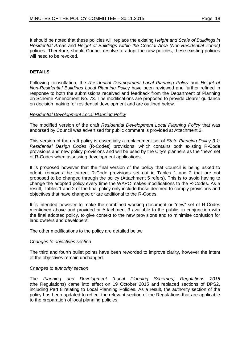It should be noted that these policies will replace the existing *Height and Scale of Buildings in Residential Areas* and *Height of Buildings within the Coastal Area (Non-Residential Zones)*  policies*.* Therefore, should Council resolve to adopt the new policies, these existing policies will need to be revoked.

# **DETAILS**

Following consultation, the *Residential Development Local Planning Policy* and *Height of Non-Residential Buildings Local Planning Policy* have been reviewed and further refined in response to both the submissions received and feedback from the Department of Planning on Scheme Amendment No. 73. The modifications are proposed to provide clearer guidance on decision making for residential development and are outlined below.

#### *Residential Development Local Planning Policy*

The modified version of the draft *Residential Development Local Planning Policy* that was endorsed by Council was advertised for public comment is provided at Attachment 3.

This version of the draft policy is essentially a replacement set of *State Planning Policy 3.1: Residential Design Codes* (R-Codes) provisions, which contains both existing R-Code provisions and new policy provisions and will be used by the City's planners as the "new" set of R-Codes when assessing development applications.

It is proposed however that the final version of the policy that Council is being asked to adopt, removes the current R-Code provisions set out in Tables 1 and 2 that are not proposed to be changed through the policy (Attachment 5 refers). This is to avoid having to change the adopted policy every time the WAPC makes modifications to the R-Codes. As a result, Tables 1 and 2 of the final policy only include those deemed-to-comply provisions and objectives that have changed or are additional to the R-Codes.

It is intended however to make the combined working document or "new" set of R-Codes mentioned above and provided at Attachment 3 available to the public, in conjunction with the final adopted policy, to give context to the new provisions and to minimise confusion for land owners and developers.

The other modifications to the policy are detailed below:

#### *Changes to objectives section*

The third and fourth bullet points have been reworded to improve clarity, however the intent of the objectives remain unchanged.

#### *Changes to authority section*

The *Planning and Development (Local Planning Schemes) Regulations 2015* (the Regulations) came into effect on 19 October 2015 and replaced sections of DPS2, including Part 8 relating to Local Planning Policies. As a result, the authority section of the policy has been updated to reflect the relevant section of the Regulations that are applicable to the preparation of local planning policies.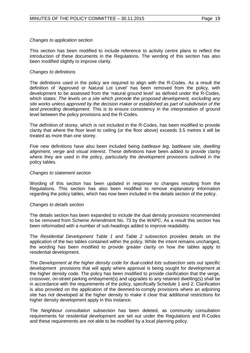#### *Changes to application section*

This section has been modified to include reference to activity centre plans to reflect the introduction of these documents in the Regulations. The wording of this section has also been modified slightly to improve clarity.

#### *Changes to definitions*

The definitions used in the policy are required to align with the R-Codes. As a result the definition of 'Approved or Natural Lot Level' has been removed from the policy, with development to be assessed from the 'natural ground level' as defined under the R-Codes, which states: *The levels on a site which precede the proposed development, excluding any site works unless approved by the decision maker or established as part of subdivision of the land preceding development.* This is to ensure consistency in the interpretation of ground level between the policy provisions and the R-Codes.

The definition of storey, which is not included in the R-Codes, has been modified to provide clarity that where the floor level to ceiling (or the floor above) exceeds 3.5 metres it will be treated as more than one storey.

Five new definitions have also been included being *battleaxe leg, battleaxe site, dwelling alignment, verge* and *visual interest*. These definitions have been added to provide clarity where they are used in the policy, particularly the development provisions outlined in the policy tables.

#### *Changes to statement section*

Wording of this section has been updated in response to changes resulting from the Regulations. This section has also been modified to remove explanatory information regarding the policy tables, which has now been included in the details section of the policy.

#### *Changes to details section*

The details section has been expanded to include the dual density provisions recommended to be removed from Scheme Amendment No. 73 by the WAPC. As a result this section has been reformatted with a number of sub-headings added to improve readability.

The *Residential Development Table 1 and Table 2* subsection provides details on the application of the two tables contained within the policy. While the intent remains unchanged, the wording has been modified to provide greater clarity on how the tables apply to residential development.

The *Development at the higher density code for dual-coded lots* subsection sets out specific development provisions that will apply where approval is being sought for development at the higher density code. The policy has been modified to provide clarification that the verge, crossover, on-street parking embayment(s) and upgrades to any retained dwelling(s) shall be in accordance with the requirements of the policy, specifically Schedule 1 and 2. Clarification is also provided on the application of the deemed-to-comply provisions where an adjoining site has not developed at the higher density to make it clear that additional restrictions for higher density development apply in this instance.

The *Neighbour consultation* subsection has been deleted, as community consultation requirements for residential development are set out under the Regulations and R-Codes and these requirements are not able to be modified by a local planning policy.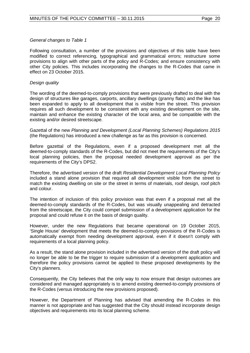#### *General changes to Table 1*

Following consultation, a number of the provisions and objectives of this table have been modified to correct referencing, typographical and grammatical errors; restructure some provisions to align with other parts of the policy and R-Codes; and ensure consistency with other City policies. This includes incorporating the changes to the R-Codes that came in effect on 23 October 2015.

#### *Design quality*

The wording of the deemed-to-comply provisions that were previously drafted to deal with the design of structures like garages, carports, ancillary dwellings (granny flats) and the like has been expanded to apply to all development that is visible from the street. This provision requires all such development to be consistent with any existing development on the site, maintain and enhance the existing character of the local area, and be compatible with the existing and/or desired streetscape.

Gazettal of the new *Planning and Development (Local Planning Schemes) Regulations 2015* (the Regulations) has introduced a new challenge as far as this provision is concerned.

Before gazettal of the Regulations, even if a proposed development met all the deemed-to-comply standards of the R-Codes, but did not meet the requirements of the City's local planning policies, then the proposal needed development approval as per the requirements of the City's DPS2.

Therefore, the advertised version of the draft *Residential Development Local Planning Policy*  included a stand alone provision that required all development visible from the street to match the existing dwelling on site or the street in terms of materials, roof design, roof pitch and colour.

The intention of inclusion of this policy provision was that even if a proposal met all the deemed-to-comply standards of the R-Codes, but was visually unappealing and detracted from the streetscape, the City could compel submission of a development application for the proposal and could refuse it on the basis of design quality.

However, under the new Regulations that became operational on 19 October 2015, 'Single House' development that meets the deemed-to-comply provisions of the R-Codes is automatically exempt from needing development approval, even if it doesn't comply with requirements of a local planning policy.

As a result, the stand alone provision included in the advertised version of the draft policy will no longer be able to be the trigger to require submission of a development application and therefore the policy provisions cannot be applied to these proposed developments by the City's planners.

Consequently, the City believes that the only way to now ensure that design outcomes are considered and managed appropriately is to amend existing deemed-to-comply provisions of the R-Codes (versus introducing the new provisions proposed).

However, the Department of Planning has advised that amending the R-Codes in this manner is not appropriate and has suggested that the City should instead incorporate design objectives and requirements into its local planning scheme.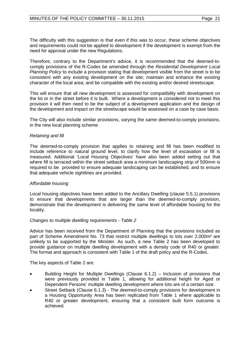The difficulty with this suggestion is that even if this was to occur, these scheme objectives and requirements could not be applied to development if the development is exempt from the need for approval under the new Regulations.

Therefore, contrary to the Department's advice, it is recommended that the deemed-tocomply provisions of the R-Codes be amended through the *Residential Development Local Planning Policy* to include a provision stating that development visible from the street is to be consistent with any existing development on the site; maintain and enhance the existing character of the local area; and be compatible with the existing and/or desired streetscape.

This will ensure that all new development is assessed for compatibility with development on the lot or in the street before it is built. Where a development is considered not to meet this provision it will then need to be the subject of a development application and the design of the development and impact on the streetscape would be assessed on a case by case basis.

The City will also include similar provisions, varying the same deemed-to-comply provisions, in the new local planning scheme.

# *Retaining and fill*

The deemed-to-comply provision that applies to retaining and fill has been modified to include reference to natural ground level, to clarify how the level of excavation or fill is measured. Additional 'Local Housing Objectives' have also been added setting out that where fill is terraced within the street setback area a minimum landscaping strip of 500mm is required to be provided to ensure adequate landscaping can be established, and to ensure that adequate vehicle sightlines are provided.

# *Affordable housing*

Local housing objectives have been added to the Ancillary Dwelling (clause 5.5.1) provisions to ensure that developments that are larger than the deemed-to-comply provision, demonstrate that the development is delivering the same level of affordable housing for the locality.

# *Changes to multiple dwelling requirements - Table 2*

Advice has been received from the Department of Planning that the provisions included as part of Scheme Amendment No. 73 that restrict multiple dwellings to lots over 2,000m² are unlikely to be supported by the Minister. As such, a new Table 2 has been developed to provide guidance on multiple dwelling development with a density code of R40 or greater. The format and approach is consistent with Table 1 of the draft policy and the R-Codes.

The key aspects of Table 2 are:

- Building Height for Multiple Dwellings (Clause 6.1.2) Inclusion of provisions that were previously provided in Table 1, allowing for additional height for Aged or Dependent Persons' multiple dwelling development where lots are of a certain size.
- Street Setback (Clause 6.1.3) The deemed-to-comply provisions for development in a Housing Opportunity Area has been replicated from Table 1 where applicable to R40 or greater development, ensuring that a consistent built form outcome is achieved.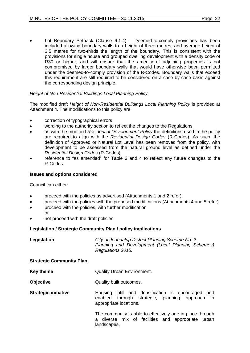Lot Boundary Setback (Clause  $6.1.4$ ) – Deemed-to-comply provisions has been included allowing boundary walls to a height of three metres, and average height of 3.5 metres for two-thirds the length of the boundary. This is consistent with the provisions for single house and grouped dwelling development with a density code of R30 or higher, and will ensure that the amenity of adjoining properties is not compromised by larger boundary walls that would have otherwise been permitted under the deemed-to-comply provision of the R-Codes. Boundary walls that exceed this requirement are still required to be considered on a case by case basis against the corresponding design principle.

# *Height of Non-Residential Buildings Local Planning Policy*

The modified draft *Height of Non-Residential Buildings Local Planning Policy* is provided at Attachment 4. The modifications to this policy are:

- correction of typographical errors
- wording to the authority section to reflect the changes to the Regulations
- as with the modified *Residential Development Policy* the definitions used in the policy are required to align with the *Residential Design Codes* (R-Codes). As such, the definition of Approved or Natural Lot Level has been removed from the policy, with development to be assessed from the natural ground level as defined under the *Residential Design Codes* (R-Codes)
- reference to "as amended" for Table 3 and 4 to reflect any future changes to the R-Codes.

# **Issues and options considered**

Council can either:

- proceed with the policies as advertised (Attachments 1 and 2 refer)
- proceed with the policies with the proposed modifications (Attachments 4 and 5 refer)
- proceed with the policies, with further modification
- or
- not proceed with the draft policies.

# **Legislation / Strategic Community Plan / policy implications**

| Legislation                     | City of Joondalup District Planning Scheme No. 2.<br>Planning and Development (Local Planning Schemes)<br>Regulations 2015.     |
|---------------------------------|---------------------------------------------------------------------------------------------------------------------------------|
| <b>Strategic Community Plan</b> |                                                                                                                                 |
| Key theme                       | <b>Quality Urban Environment.</b>                                                                                               |
| <b>Objective</b>                | Quality built outcomes.                                                                                                         |
| <b>Strategic initiative</b>     | Housing infill and densification is encouraged and<br>enabled through strategic, planning approach in<br>appropriate locations. |
|                                 | The community is able to effectively age-in-place through<br>a diverse mix of facilities and appropriate urban<br>landscapes.   |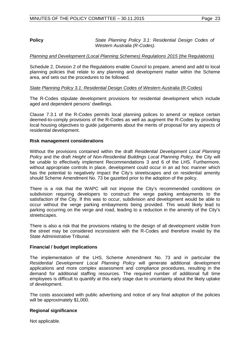**Policy** *State Planning Policy 3.1: Residential Design Codes of Western Australia (R-Codes).*

# *Planning and Development (Local Planning Schemes) Regulations 2015 (the Regulations)*

Schedule 2, Division 2 of the Regulations enable Council to prepare, amend and add to local planning policies that relate to any planning and development matter within the Scheme area, and sets out the procedures to be followed.

# *State Planning Policy 3.1: Residential Design Codes of Western Australia* (R-Codes)

The R-Codes stipulate development provisions for residential development which include aged and dependent persons' dwellings.

Clause 7.3.1 of the R-Codes permits local planning polices to amend or replace certain deemed-to-comply provisions of the R-Codes as well as augment the R-Codes by providing local housing objectives to guide judgements about the merits of proposal for any aspects of residential development.

# **Risk management considerations**

Without the provisions contained within the draft *Residential Development Local Planning Policy* and the draft *Height of Non-Residential Buildings Local Planning Policy,* the City will be unable to effectively implement Recommendations 3 and 6 of the LHS. Furthermore, without appropriate controls in place, development could occur in an ad hoc manner which has the potential to negatively impact the City's streetscapes and on residential amenity should Scheme Amendment No. 73 be gazetted prior to the adoption of the policy.

There is a risk that the WAPC will not impose the City's recommended conditions on subdivision requiring developers to construct the verge parking embayments to the satisfaction of the City. If this was to occur, subdivision and development would be able to occur without the verge parking embayments being provided. This would likely lead to parking occurring on the verge and road, leading to a reduction in the amenity of the City's streetscapes.

There is also a risk that the provisions relating to the design of all development visible from the street may be considered inconsistent with the R-Codes and therefore invalid by the State Administrative Tribunal.

# **Financial / budget implications**

The implementation of the LHS, Scheme Amendment No. 73 and in particular the *Residential Development Local Planning Policy* will generate additional development applications and more complex assessment and compliance procedures, resulting in the demand for additional staffing resources. The required number of additional full time employees is difficult to quantify at this early stage due to uncertainty about the likely uptake of development.

The costs associated with public advertising and notice of any final adoption of the policies will be approximately \$1,000.

# **Regional significance**

Not applicable.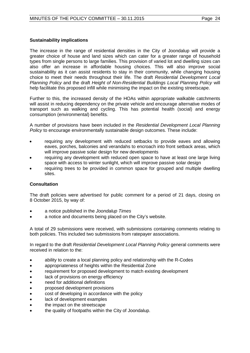# **Sustainability implications**

The increase in the range of residential densities in the City of Joondalup will provide a greater choice of house and land sizes which can cater for a greater range of household types from single persons to large families. This provision of varied lot and dwelling sizes can also offer an increase in affordable housing choices. This will also improve social sustainability as it can assist residents to stay in their community, while changing housing choice to meet their needs throughout their life. The draft *Residential Development Local Planning Policy* and the draft *Height of Non-Residential Buildings Local Planning Policy* will help facilitate this proposed infill while minimising the impact on the existing streetscape.

Further to this, the increased density of the HOAs within appropriate walkable catchments will assist in reducing dependency on the private vehicle and encourage alternative modes of transport such as walking and cycling. This has potential health (social) and energy consumption (environmental) benefits.

A number of provisions have been included in the *Residential Development Local Planning Policy* to encourage environmentally sustainable design outcomes. These include:

- requiring any development with reduced setbacks to provide eaves and allowing eaves, porches, balconies and verandahs to encroach into front setback areas, which will improve passive solar design for new developments
- requiring any development with reduced open space to have at least one large living space with access to winter sunlight, which will improve passive solar design
- requiring trees to be provided in common space for grouped and multiple dwelling sites.

# **Consultation**

The draft policies were advertised for public comment for a period of 21 days, closing on 8 October 2015, by way of:

- a notice published in the *Joondalup Times*
- a notice and documents being placed on the City's website.

A total of 29 submissions were received, with submissions containing comments relating to both policies. This included two submissions from ratepayer associations.

In regard to the draft *Residential Development Local Planning Policy* general comments were received in relation to the:

- ability to create a local planning policy and relationship with the R-Codes
- appropriateness of heights within the Residential Zone
- requirement for proposed development to match existing development
- lack of provisions on energy efficiency
- need for additional definitions
- proposed development provisions
- cost of developing in accordance with the policy
- lack of development examples
- the impact on the streetscape
- the quality of footpaths within the City of Joondalup.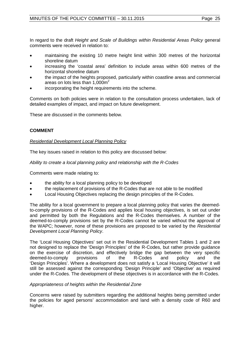In regard to the draft *Height and Scale of Buildings within Residential Areas Policy* general comments were received in relation to:

- maintaining the existing 10 metre height limit within 300 metres of the horizontal shoreline datum
- increasing the 'coastal area' definition to include areas within 600 metres of the horizontal shoreline datum
- the impact of the heights proposed, particularly within coastline areas and commercial areas on lots less than  $1,000m^2$
- incorporating the height requirements into the scheme.

Comments on both policies were in relation to the consultation process undertaken, lack of detailed examples of impact, and impact on future development.

These are discussed in the comments below.

# **COMMENT**

# *Residential Development Local Planning Policy*

The key issues raised in relation to this policy are discussed below:

*Ability to create a local planning policy and relationship with the R-Codes*

Comments were made relating to:

- the ability for a local planning policy to be developed
- the replacement of provisions of the R-Codes that are not able to be modified
- Local Housing Objectives replacing the design principles of the R-Codes.

The ability for a local government to prepare a local planning policy that varies the deemedto-comply provisions of the R-Codes and applies local housing objectives, is set out under and permitted by both the Regulations and the R-Codes themselves. A number of the deemed-to-comply provisions set by the R-Codes cannot be varied without the approval of the WAPC; however, none of these provisions are proposed to be varied by the *Residential Development Local Planning Policy*.

The 'Local Housing Objectives' set out in the Residential Development Tables 1 and 2 are not designed to replace the 'Design Principles' of the R-Codes, but rather provide guidance on the exercise of discretion, and effectively bridge the gap between the very specific<br>deemed-to-comply provisions of the R-Codes and policy and the deemed-to-comply provisions of the R-Codes and policy and the 'Design Principles'. Where a development does not satisfy a 'Local Housing Objective' it will still be assessed against the corresponding 'Design Principle' and 'Objective' as required under the R-Codes. The development of these objectives is in accordance with the R-Codes.

# *Appropriateness of heights within the Residential Zone*

Concerns were raised by submitters regarding the additional heights being permitted under the policies for aged persons' accommodation and land with a density code of R60 and higher.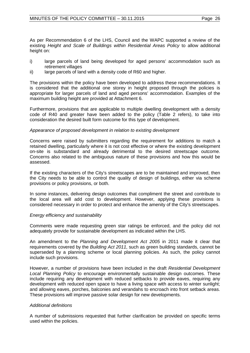As per Recommendation 6 of the LHS, Council and the WAPC supported a review of the existing *Height and Scale of Buildings within Residential Areas Policy* to allow additional height on:

- i) large parcels of land being developed for aged persons' accommodation such as retirement villages
- ii) large parcels of land with a density code of R60 and higher.

The provisions within the policy have been developed to address these recommendations. It is considered that the additional one storey in height proposed through the policies is appropriate for larger parcels of land and aged persons' accommodation. Examples of the maximum building height are provided at Attachment 6.

Furthermore, provisions that are applicable to multiple dwelling development with a density code of R40 and greater have been added to the policy (Table 2 refers), to take into consideration the desired built form outcome for this type of development.

# *Appearance of proposed development in relation to existing development*

Concerns were raised by submitters regarding the requirement for additions to match a retained dwelling, particularly where it is not cost effective or where the existing development on-site is substandard and already detrimental to the desired streetscape outcome. Concerns also related to the ambiguous nature of these provisions and how this would be assessed.

If the existing characters of the City's streetscapes are to be maintained and improved, then the City needs to be able to control the quality of design of buildings, either via scheme provisions or policy provisions, or both.

In some instances, delivering design outcomes that compliment the street and contribute to the local area will add cost to development. However, applying these provisions is considered necessary in order to protect and enhance the amenity of the City's streetscapes.

# *Energy efficiency and sustainability*

Comments were made requesting green star ratings be enforced, and the policy did not adequately provide for sustainable development as indicated within the LHS.

An amendment to the *Planning and Development Act 2005* in 2011 made it clear that requirements covered by the *Building Act 2011*, such as green building standards, cannot be superseded by a planning scheme or local planning policies. As such, the policy cannot include such provisions.

However, a number of provisions have been included in the draft *Residential Development Local Planning Policy* to encourage environmentally sustainable design outcomes. These include requiring any development with reduced setbacks to provide eaves, requiring any development with reduced open space to have a living space with access to winter sunlight; and allowing eaves, porches, balconies and verandahs to encroach into front setback areas. These provisions will improve passive solar design for new developments.

# *Additional definitions*

A number of submissions requested that further clarification be provided on specific terms used within the policies.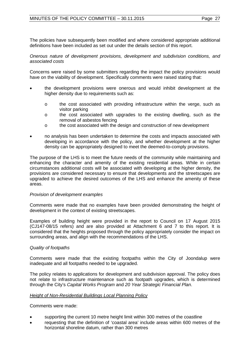The policies have subsequently been modified and where considered appropriate additional definitions have been included as set out under the details section of this report.

*Onerous nature of development provisions, development and subdivision conditions, and associated costs*

Concerns were raised by some submitters regarding the impact the policy provisions would have on the viability of development. Specifically comments were raised stating that:

- the development provisions were onerous and would inhibit development at the higher density due to requirements such as:
	- o the cost associated with providing infrastructure within the verge, such as visitor parking
	- o the cost associated with upgrades to the existing dwelling, such as the removal of asbestos fencing
	- o the cost associated with the design and construction of new development
- no analysis has been undertaken to determine the costs and impacts associated with developing in accordance with the policy, and whether development at the higher density can be appropriately designed to meet the deemed-to-comply provisions.

The purpose of the LHS is to meet the future needs of the community while maintaining and enhancing the character and amenity of the existing residential areas. While in certain circumstances additional costs will be associated with developing at the higher density, the provisions are considered necessary to ensure that developments and the streetscapes are upgraded to achieve the desired outcomes of the LHS and enhance the amenity of these areas.

# *Provision of development examples*

Comments were made that no examples have been provided demonstrating the height of development in the context of existing streetscapes.

Examples of building height were provided in the report to Council on 17 August 2015 (CJ147-08/15 refers) and are also provided at Attachment 6 and 7 to this report. It is considered that the heights proposed through the policy appropriately consider the impact on surrounding areas, and align with the recommendations of the LHS.

# *Quality of footpaths*

Comments were made that the existing footpaths within the City of Joondalup were inadequate and all footpaths needed to be upgraded.

The policy relates to applications for development and subdivision approval. The policy does not relate to infrastructure maintenance such as footpath upgrades, which is determined through the City's *Capital Works Program* and *20 Year Strategic Financial Plan*.

#### *Height of Non-Residential Buildings Local Planning Policy*

Comments were made:

- supporting the current 10 metre height limit within 300 metres of the coastline
- requesting that the definition of 'coastal area' include areas within 600 metres of the horizontal shoreline datum, rather than 300 metres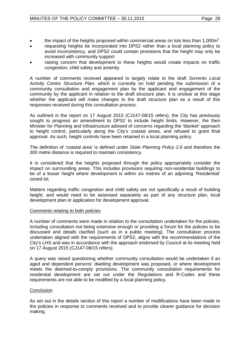- the impact of the heights proposed within commercial areas on lots less than  $1,000m^2$
- requesting heights be incorporated into DPS2 rather than a local planning policy to avoid inconsistency, and DPS2 could contain provisions that the height may only be increased with community support
- raising concern that development to these heights would create impacts on traffic congestion, child safety and amenity.

A number of comments received appeared to largely relate to the draft *Sorrento Local Activity Centre Structure Plan,* which is currently on hold pending the submission of a community consultation and engagement plan by the applicant and engagement of the community by the applicant in relation to the draft structure plan. It is unclear at this stage whether the applicant will make changes to the draft structure plan as a result of this responses received during this consultation process.

As outlined in the report on 17 August 2015 (CJ147-08/15 refers), the City has previously sought to progress an amendment to DPS2 to include height limits. However, the then Minister for Planning and Infrastructure advised of concerns regarding the 'blanket' approach to height control, particularly along the City's coastal areas, and refused to grant final approval. As such, height controls have been retained in a local planning policy.

The definition of 'coastal area' is defined under *State Planning Policy 2.6* and therefore the 300 metre distance is required to maintain consistency.

It is considered that the heights proposed through the policy appropriately consider the impact on surrounding areas. This includes provisions requiring non-residential buildings to be of a lesser height where development is within six metres of an adjoining 'Residential' zoned lot.

Matters regarding traffic congestion and child safety are not specifically a result of building height, and would need to be assessed separately as part of any structure plan, local development plan or application for development approval.

# Comments relating to both policies

A number of comments were made in relation to the consultation undertaken for the policies, including consultation not being extensive enough or providing a forum for the policies to be discussed and details clarified (such as in a public meeting). The consultation process undertaken aligned with the requirements of DPS2, aligns with the recommendations of the City's LHS and was in accordance with the approach endorsed by Council at its meeting held on 17 August 2015 (CJ147-08/15 refers).

A query was raised questioning whether community consultation would be undertaken if an aged and dependent persons' dwelling development was proposed, or where development meets the deemed-to-comply provisions. The community consultation requirements for residential development are set out under the Regulations and R-Codes and these requirements are not able to be modified by a local planning policy.

# **Conclusion**

As set out in the details section of this report a number of modifications have been made to the policies in response to comments received and to provide clearer guidance for decision making.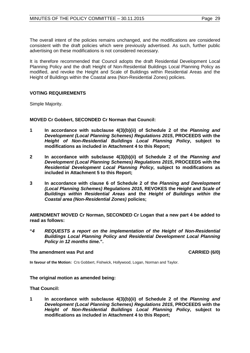The overall intent of the policies remains unchanged, and the modifications are considered consistent with the draft policies which were previously advertised. As such, further public advertising on these modifications is not considered necessary.

It is therefore recommended that Council adopts the draft Residential Development Local Planning Policy and the draft Height of Non-Residential Buildings Local Planning Policy as modified, and revoke the Height and Scale of Buildings within Residential Areas and the Height of Buildings within the Coastal area (Non-Residential Zones) policies.

# **VOTING REQUIREMENTS**

Simple Majority.

**MOVED Cr Gobbert, SECONDED Cr Norman that Council:**

- **1 In accordance with subclause 4(3)(b)(ii) of Schedule 2 of the** *Planning and Development (Local Planning Schemes) Regulations 2015***, PROCEEDS with the**  *Height of Non-Residential Buildings Local Planning Policy***, subject to modifications as included in Attachment 4 to this Report;**
- **2 In accordance with subclause 4(3)(b)(ii) of Schedule 2 of the** *Planning and Development (Local Planning Schemes) Regulations 2015***, PROCEEDS with the**  *Residential Development Local Planning Policy***, subject to modifications as included in Attachment 5 to this Report;**
- **3 In accordance with clause 6 of Schedule 2 of the** *Planning and Development (Local Planning Schemes) Regulations 2015***, REVOKES the** *Height and Scale of Buildings within Residential Areas* **and the** *Height of Buildings within the Coastal area (Non-Residential Zones)* **policies;**

**AMENDMENT MOVED Cr Norman, SECONDED Cr Logan that a new part 4 be added to read as follows:**

**"***4 REQUESTS a report on the implementation of the Height of Non-Residential Buildings Local Planning Policy and Residential Development Local Planning Policy in 12 months time.***".**

#### The amendment was Put and **CARRIED** (6/0)

**In favour of the Motion:** Crs Gobbert, Fishwick, Hollywood, Logan, Norman and Taylor.

# **The original motion as amended being:**

**That Council:**

**1 In accordance with subclause 4(3)(b)(ii) of Schedule 2 of the** *Planning and Development (Local Planning Schemes) Regulations 2015***, PROCEEDS with the**  *Height of Non-Residential Buildings Local Planning Policy***, subject to modifications as included in Attachment 4 to this Report;**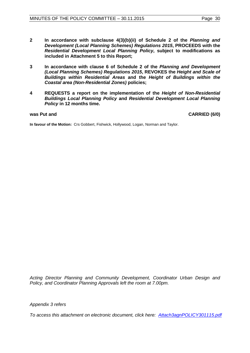- **2 In accordance with subclause 4(3)(b)(ii) of Schedule 2 of the** *Planning and Development (Local Planning Schemes) Regulations 2015***, PROCEEDS with the**  *Residential Development Local Planning Policy***, subject to modifications as included in Attachment 5 to this Report;**
- **3 In accordance with clause 6 of Schedule 2 of the** *Planning and Development (Local Planning Schemes) Regulations 2015***, REVOKES the** *Height and Scale of Buildings within Residential Areas* **and the** *Height of Buildings within the Coastal area (Non-Residential Zones)* **policies;**
- **4 REQUESTS a report on the implementation of the** *Height of Non-Residential Buildings Local Planning Policy* **and** *Residential Development Local Planning Policy* **in 12 months time.**

was Put and **CARRIED** (6/0)

**In favour of the Motion:** Crs Gobbert, Fishwick, Hollywood, Logan, Norman and Taylor.

*Acting Director Planning and Community Development, Coordinator Urban Design and Policy, and Coordinator Planning Approvals left the room at 7.00pm.*

*Appendix 3 refers*

*[To access this attachment on electronic document, click here: Attach3agnPOLICY301115.pdf](http://www.joondalup.wa.gov.au/files/committees/POLI/2015/Attach3agnPOLICY301115.pdf)*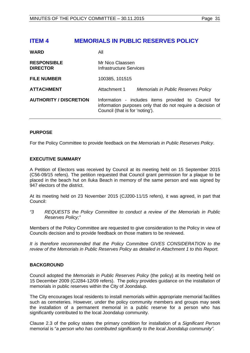# <span id="page-30-0"></span>**ITEM 4 MEMORIALS IN PUBLIC RESERVES POLICY**

| <b>WARD</b>                           | All                                                                                                                                                    |  |
|---------------------------------------|--------------------------------------------------------------------------------------------------------------------------------------------------------|--|
| <b>RESPONSIBLE</b><br><b>DIRECTOR</b> | Mr Nico Claassen<br>Infrastructure Services                                                                                                            |  |
| <b>FILE NUMBER</b>                    | 100385, 101515                                                                                                                                         |  |
| <b>ATTACHMENT</b>                     | Attachment 1<br>Memorials in Public Reserves Policy                                                                                                    |  |
| <b>AUTHORITY / DISCRETION</b>         | Information - includes items provided to Council for<br>information purposes only that do not require a decision of<br>Council (that is for 'noting'). |  |

# **PURPOSE**

For the Policy Committee to provide feedback on the *Memorials in Public Reserves Policy*.

# **EXECUTIVE SUMMARY**

A Petition of Electors was received by Council at its meeting held on 15 September 2015 (C56-09/15 refers). The petition requested that Council grant permission for a plaque to be placed in the beach hut on Iluka Beach in memory of the same person and was signed by 947 electors of the district.

At its meeting held on 23 November 2015 (CJ200-11/15 refers), it was agreed, in part that Council:

*"3 REQUESTS the Policy Committee to conduct a review of the Memorials in Public Reserves Policy;"*

Members of the Policy Committee are requested to give consideration to the Policy in view of Councils decision and to provide feedback on those matters to be reviewed.

*It is therefore recommended that the Policy Committee GIVES CONSIDERATION to the review of the Memorials in Public Reserves Policy as detailed in Attachment 1 to this Report.*

# **BACKGROUND**

Council adopted the *Memorials in Public Reserves Policy* (the policy) at its meeting held on 15 December 2009 (CJ284-12/09 refers). The policy provides guidance on the installation of memorials in public reserves within the City of Joondalup.

The City encourages local residents to install memorials within appropriate memorial facilities such as cemeteries. However, under the policy community members and groups may seek the installation of a permanent memorial in a public reserve for a person who has significantly contributed to the local Joondalup community.

Clause 2.3 of the policy states the primary condition for installation of a *Significant Person* memorial is "*a person who has contributed significantly to the local Joondalup community".*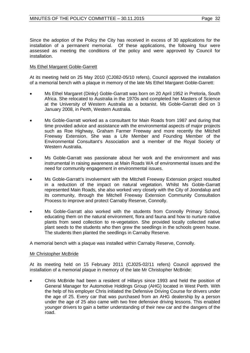Since the adoption of the Policy the City has received in excess of 30 applications for the installation of a permanent memorial. Of these applications, the following four were assessed as meeting the conditions of the policy and were approved by Council for installation.

# Ms Ethel Margaret Goble-Garrett

At its meeting held on 25 May 2010 (CJ082-05/10 refers), Council approved the installation of a memorial bench with a plaque in memory of the late Ms Ethel Margaret Goble-Garrett:

- Ms Ethel Margaret (Dinky) Goble-Garratt was born on 20 April 1952 in Pretoria, South Africa. She relocated to Australia in the 1970s and completed her Masters of Science at the University of Western Australia as a botanist. Ms Goble-Garratt died on 3 January 2008, in Perth, Western Australia.
- Ms Goble-Garratt worked as a consultant for Main Roads from 1987 and during that time provided advice and assistance with the environmental aspects of major projects such as Roe Highway, Graham Farmer Freeway and more recently the Mitchell Freeway Extension. She was a Life Member and Founding Member of the Environmental Consultant's Association and a member of the Royal Society of Western Australia.
- Ms Goble-Garratt was passionate about her work and the environment and was instrumental in raising awareness at Main Roads WA of environmental issues and the need for community engagement in environmental issues.
- Ms Goble-Garratt's involvement with the Mitchell Freeway Extension project resulted in a reduction of the impact on natural vegetation. Whilst Ms Goble-Garratt represented Main Roads, she also worked very closely with the City of Joondalup and its community, through the Mitchell Freeway Extension Community Consultation Process to improve and protect Carnaby Reserve, Connolly.
- Ms Goble-Garratt also worked with the students from Connolly Primary School, educating them on the natural environment, flora and fauna and how to nurture native plants from seed collection to re-vegetation. She provided locally collected native plant seeds to the students who then grew the seedlings in the schools green house. The students then planted the seedlings in Carnaby Reserve.

A memorial bench with a plaque was installed within Carnaby Reserve, Connolly.

# Mr Christopher McBride

At its meeting held on 15 February 2011 (CJ025-02/11 refers) Council approved the installation of a memorial plaque in memory of the late Mr Christopher McBride:

• Chris McBride had been a resident of Hillarys since 1993 and held the position of General Manager for Automotive Holdings Group (AHG) located in West Perth. With the help of his employer Chris initiated the Defensive Driving Course for drivers under the age of 25. Every car that was purchased from an AHG dealership by a person under the age of 25 also came with two free defensive driving lessons. This enabled younger drivers to gain a better understanding of their new car and the dangers of the road.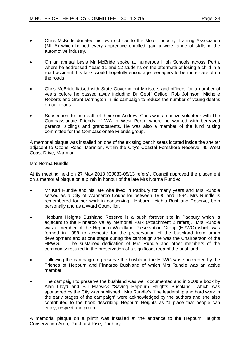- Chris McBride donated his own old car to the Motor Industry Training Association (MITA) which helped every apprentice enrolled gain a wide range of skills in the automotive industry.
- On an annual basis Mr McBride spoke at numerous High Schools across Perth, where he addressed Years 11 and 12 students on the aftermath of losing a child in a road accident, his talks would hopefully encourage teenagers to be more careful on the roads.
- Chris McBride liaised with State Government Ministers and officers for a number of years before he passed away including Dr Geoff Gallop, Rob Johnson, Michelle Roberts and Grant Dorrington in his campaign to reduce the number of young deaths on our roads.
- Subsequent to the death of their son Andrew, Chris was an active volunteer with The Compassionate Friends of WA in West Perth, where he worked with bereaved parents, siblings and grandparents. He was also a member of the fund raising committee for the Compassionate Friends group.

A memorial plaque was installed on one of the existing bench seats located inside the shelter adjacent to Ozone Road, Marmion, within the City's Coastal Foreshore Reserve, 45 West Coast Drive, Marmion.

# Mrs Norma Rundle

At its meeting held on 27 May 2013 (CJ083-05/13 refers), Council approved the placement on a memorial plaque on a plinth in honour of the late Mrs Norma Rundle:

- Mr Karl Rundle and his late wife lived in Padbury for many years and Mrs Rundle served as a City of Wanneroo Councillor between 1990 and 1994. Mrs Rundle is remembered for her work in conserving Hepburn Heights Bushland Reserve, both personally and as a Ward Councillor.
- Hepburn Heights Bushland Reserve is a bush forever site in Padbury which is adjacent to the Pinnaroo Valley Memorial Park (Attachment 2 refers). Mrs Rundle was a member of the Hepburn Woodland Preservation Group (HPWG) which was formed in 1988 to advocate for the preservation of the bushland from urban development and at one stage during the campaign she was the Chairperson of the HPWG. The sustained dedication of Mrs Rundle and other members of the community resulted in the preservation of a significant area of the bushland.
- Following the campaign to preserve the bushland the HPWG was succeeded by the Friends of Hepburn and Pinnaroo Bushland of which Mrs Rundle was an active member.
- The campaign to preserve the bushland was well documented and in 2009 a book by Alan Lloyd and Bill Marwick "Saving Hepburn Heights Bushland", which was sponsored by the City was published. Mrs Rundle's "fine leadership and hard work in the early stages of the campaign" were acknowledged by the authors and she also contributed to the book describing Hepburn Heights as "a place that people can enjoy, respect and protect".

A memorial plaque on a plinth was installed at the entrance to the Hepburn Heights Conservation Area, Parkhurst Rise, Padbury.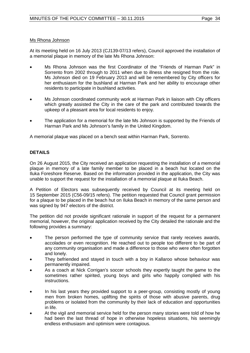# Ms Rhona Johnson

At its meeting held on 16 July 2013 (CJ139-07/13 refers), Council approved the installation of a memorial plaque in memory of the late Ms Rhona Johnson:

- Ms Rhona Johnson was the first Coordinator of the "Friends of Harman Park" in Sorrento from 2002 through to 2011 when due to illness she resigned from the role. Ms Johnson died on 19 February 2013 and will be remembered by City officers for her enthusiasm for the bushland at Harman Park and her ability to encourage other residents to participate in bushland activities.
- Ms Johnson coordinated community work at Harman Park in liaison with City officers which greatly assisted the City in the care of the park and contributed towards the upkeep of a pleasant area for local residents to enjoy.
- The application for a memorial for the late Ms Johnson is supported by the Friends of Harman Park and Ms Johnson's family in the United Kingdom.

A memorial plaque was placed on a bench seat within Harman Park, Sorrento.

# **DETAILS**

On 26 August 2015, the City received an application requesting the installation of a memorial plaque in memory of a late family member to be placed in a beach hut located on the Iluka Foreshore Reserve. Based on the information provided in the application, the City was unable to support the request for the installation of a memorial plaque at Iluka Beach.

A Petition of Electors was subsequently received by Council at its meeting held on 15 September 2015 (C56-09/15 refers). The petition requested that Council grant permission for a plaque to be placed in the beach hut on Iluka Beach in memory of the same person and was signed by 947 electors of the district.

The petition did not provide significant rationale in support of the request for a permanent memorial, however, the original application received by the City detailed the rationale and the following provides a summary:

- The person performed the type of community service that rarely receives awards, accolades or even recognition. He reached out to people too different to be part of any community organisation and made a difference to those who were often forgotten and lonely.
- They befriended and stayed in touch with a boy in Kallaroo whose behaviour was permanently impaired.
- As a coach at Nick Corrigan's soccer schools they expertly taught the game to the sometimes rather spirited, young boys and girls who happily complied with his instructions.
- In his last years they provided support to a peer-group, consisting mostly of young men from broken homes, uplifting the spirits of those with abusive parents, drug problems or isolated from the community by their lack of education and opportunities in life.
- At the vigil and memorial service held for the person many stories were told of how he had been the last thread of hope in otherwise hopeless situations, his seemingly endless enthusiasm and optimism were contagious.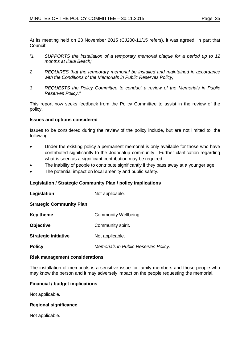At its meeting held on 23 November 2015 (CJ200-11/15 refers), it was agreed, in part that Council:

- *"1 SUPPORTS the installation of a temporary memorial plaque for a period up to 12 months at Iluka Beach;*
- *2 REQUIRES that the temporary memorial be installed and maintained in accordance with the Conditions of the Memorials in Public Reserves Policy;*
- *3 REQUESTS the Policy Committee to conduct a review of the Memorials in Public Reserves Policy."*

This report now seeks feedback from the Policy Committee to assist in the review of the policy.

# **Issues and options considered**

Issues to be considered during the review of the policy include, but are not limited to, the following:

- Under the existing policy a permanent memorial is only available for those who have contributed significantly to the Joondalup community. Further clarification regarding what is seen as a significant contribution may be required.
- The inability of people to contribute significantly if they pass away at a younger age.
- The potential impact on local amenity and public safety.

# **Legislation / Strategic Community Plan / policy implications**

| Legislation                     | Not applicable.                      |
|---------------------------------|--------------------------------------|
| <b>Strategic Community Plan</b> |                                      |
| <b>Key theme</b>                | Community Wellbeing.                 |
| <b>Objective</b>                | Community spirit.                    |
| <b>Strategic initiative</b>     | Not applicable.                      |
| <b>Policy</b>                   | Memorials in Public Reserves Policy. |

# **Risk management considerations**

The installation of memorials is a sensitive issue for family members and those people who may know the person and it may adversely impact on the people requesting the memorial.

# **Financial / budget implications**

Not applicable.

# **Regional significance**

Not applicable.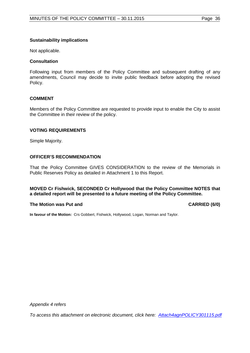# **Sustainability implications**

Not applicable.

#### **Consultation**

Following input from members of the Policy Committee and subsequent drafting of any amendments, Council may decide to invite public feedback before adopting the revised Policy.

#### **COMMENT**

Members of the Policy Committee are requested to provide input to enable the City to assist the Committee in their review of the policy.

#### **VOTING REQUIREMENTS**

Simple Majority.

# **OFFICER'S RECOMMENDATION**

That the Policy Committee GIVES CONSIDERATION to the review of the Memorials in Public Reserves Policy as detailed in Attachment 1 to this Report.

# **MOVED Cr Fishwick, SECONDED Cr Hollywood that the Policy Committee NOTES that a detailed report will be presented to a future meeting of the Policy Committee.**

#### **The Motion was Put and CARRIED (6/0) CARRIED (6/0)**

**In favour of the Motion:** Crs Gobbert, Fishwick, Hollywood, Logan, Norman and Taylor.

*Appendix 4 refers*

*[To access this attachment on electronic document, click here: Attach4agnPOLICY301115.pdf](http://www.joondalup.wa.gov.au/files/committees/POLI/2015/Attach4agnPOLICY301115.pdf)*